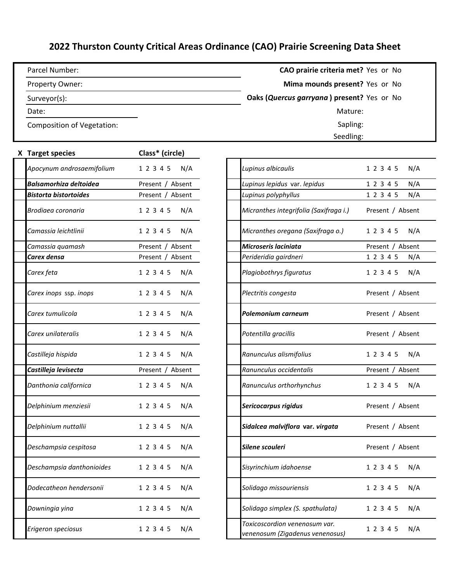## **2022 Thurston County Critical Areas Ordinance (CAO) Prairie Screening Data Sheet**

| Parcel Number:<br>Property Owner: |                  | CAO prairie criteria met? Yes or No<br>Mima mounds present? Yes or No |                  |  |
|-----------------------------------|------------------|-----------------------------------------------------------------------|------------------|--|
|                                   |                  |                                                                       |                  |  |
| Date:                             |                  | Mature:                                                               |                  |  |
| <b>Composition of Vegetation:</b> |                  | Sapling:                                                              |                  |  |
|                                   |                  | Seedling:                                                             |                  |  |
| X Target species                  | Class* (circle)  |                                                                       |                  |  |
| Apocynum androsaemifolium         | 1 2 3 4 5<br>N/A | Lupinus albicaulis                                                    | 1 2 3 4 5<br>N/A |  |
| <b>Balsamorhiza deltoidea</b>     | Present / Absent | Lupinus lepidus var. lepidus                                          | N/A<br>1 2 3 4 5 |  |
| <b>Bistorta bistortoides</b>      | Present / Absent | Lupinus polyphyllus                                                   | N/A<br>1 2 3 4 5 |  |
| Brodiaea coronaria                | 1 2 3 4 5<br>N/A | Micranthes integrifolia (Saxifraga i.)                                | Present / Absent |  |
| Camassia leichtlinii              | N/A<br>1 2 3 4 5 | Micranthes oregana (Saxifraga o.)                                     | N/A<br>1 2 3 4 5 |  |
| Camassia quamash                  | Present / Absent | Microseris laciniata                                                  | Present / Absent |  |
| Carex densa                       | Present / Absent | Perideridia gairdneri                                                 | 1 2 3 4 5<br>N/A |  |
| Carex feta                        | N/A<br>1 2 3 4 5 | Plagiobothrys figuratus                                               | N/A<br>1 2 3 4 5 |  |
| Carex inops ssp. inops            | N/A<br>1 2 3 4 5 | Plectritis congesta                                                   | Present / Absent |  |
| Carex tumulicola                  | N/A<br>1 2 3 4 5 | Polemonium carneum                                                    | Present / Absent |  |
| Carex unilateralis                | N/A<br>1 2 3 4 5 | Potentilla gracillis                                                  | Present / Absent |  |
| Castilleja hispida                | N/A<br>1 2 3 4 5 | Ranunculus alismifolius                                               | N/A<br>1 2 3 4 5 |  |
| Castilleja levisecta              | Present / Absent | Ranunculus occidentalis                                               | Present / Absent |  |
| Danthonia californica             | N/A<br>1 2 3 4 5 | Ranunculus orthorhynchus                                              | N/A<br>1 2 3 4 5 |  |
| Delphinium menziesii              | N/A<br>1 2 3 4 5 | Sericocarpus rigidus                                                  | Present / Absent |  |
| Delphinium nuttallii              | N/A<br>1 2 3 4 5 | Sidalcea malviflora var. virgata                                      | Present / Absent |  |
| Deschampsia cespitosa             | N/A<br>1 2 3 4 5 | Silene scouleri                                                       | Present / Absent |  |
| Deschampsia danthonioides         | N/A<br>1 2 3 4 5 | Sisyrinchium idahoense                                                | N/A<br>1 2 3 4 5 |  |
| Dodecatheon hendersonii           | N/A<br>1 2 3 4 5 | Solidago missouriensis                                                | N/A<br>1 2 3 4 5 |  |
| Downingia yina                    | N/A<br>1 2 3 4 5 | Solidago simplex (S. spathulata)                                      | N/A<br>1 2 3 4 5 |  |
| Erigeron speciosus                | N/A<br>1 2 3 4 5 | Toxicoscordion venenosum var.<br>venenosum (Zigadenus venenosus)      | N/A<br>1 2 3 4 5 |  |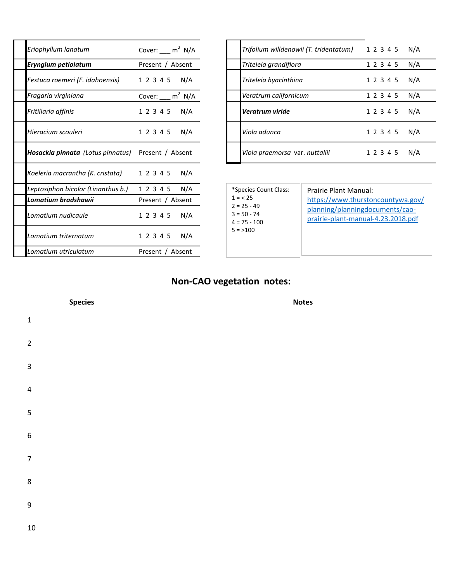| Eriophyllum lanatum                                       | Cover: $m^2$ N/A |  |  |
|-----------------------------------------------------------|------------------|--|--|
| Eryngium petiolatum                                       | Present / Absent |  |  |
| Festuca roemeri (F. idahoensis)                           | 1 2 3 4 5 N/A    |  |  |
| Fragaria virginiana                                       | Cover: $m^2$ N/A |  |  |
| Fritillaria affinis                                       | 1 2 3 4 5<br>N/A |  |  |
| Hieracium scouleri                                        | 1 2 3 4 5 N/A    |  |  |
| <b>Hosackia pinnata</b> (Lotus pinnatus) Present / Absent |                  |  |  |
| Koeleria macrantha (K. cristata)                          | 1 2 3 4 5 N/A    |  |  |
| Leptosiphon bicolor (Linanthus b.)                        | 1 2 3 4 5 N/A    |  |  |
| Lomatium bradshawii                                       | Present / Absent |  |  |
| Lomatium nudicaule                                        | 1 2 3 4 5 N/A    |  |  |
| Lomatium triternatum                                      | 1 2 3 4 5 N/A    |  |  |
| Lomatium utriculatum                                      | Present / Absent |  |  |

| Eriophyllum lanatum               | Cover: $m^2$ N/A    |
|-----------------------------------|---------------------|
| Eryngium petiolatum               | Present / Absent    |
| Festuca roemeri (F. idahoensis)   | 1 2 3 4 5<br>N/A    |
| Fragaria virginiana               | $m^2$ N/A<br>Cover: |
| Fritillaria affinis               | 1 2 3 4 5<br>N/A    |
| Hieracium scouleri                | 1 2 3 4 5<br>N/A    |
| Hosackia pinnata (Lotus pinnatus) | Present / Absent    |

| *Species Count Class:<br>$1 = 25$<br>$2 = 25 - 49$<br>$3 = 50 - 74$<br>$4 = 75 - 100$<br>$5 = > 100$ | Prairie Plant Manual:<br>https://www.thurstoncountywa.gov/<br>planning/planningdocuments/cao-<br>prairie-plant-manual-4.23.2018.pdf |
|------------------------------------------------------------------------------------------------------|-------------------------------------------------------------------------------------------------------------------------------------|
|                                                                                                      |                                                                                                                                     |

## **Non-CAO vegetation notes:**

|                         | <b>Species</b> | <b>Notes</b> |
|-------------------------|----------------|--------------|
| $\mathbf 1$             |                |              |
| $\mathbf 2$             |                |              |
| $\overline{\mathbf{3}}$ |                |              |
| $\overline{\mathbf{4}}$ |                |              |
| $\overline{\mathbf{5}}$ |                |              |
| $\overline{6}$          |                |              |
| $\overline{7}$          |                |              |
| $\bf 8$                 |                |              |
| $\overline{9}$          |                |              |
| $10\,$                  |                |              |